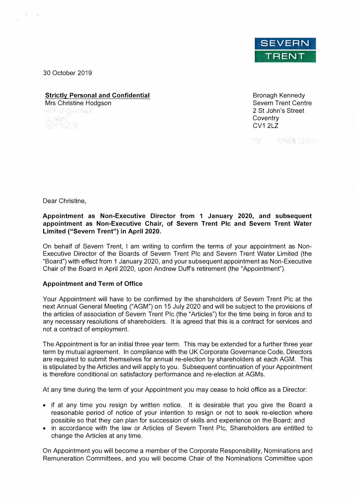

30 October 2019

# **Strictly Personal and Confidential**

Mrs Christine Hodgson

 $\mathbb{R}^{\mathbb{C}_2}$  ,

Bronagh Kennedy Severn Trent Centre 2 St John's Street **Coventry** CV1 2LZ

TWO PROPERTY

Dear Christine,

#### **Appointment as Non-Executive Director from 1 January 2020, and subsequent appointment as Non-Executive Chair, of Severn Trent Pie and Severn Trent Water Limited ("Severn Trent") in April 2020.**

On behalf of Severn Trent, I am writing to confirm the terms of your appointment as Non-Executive Director of the Boards of Severn Trent Pie and Severn Trent Water Limited (the "Board") with effect from 1 January 2020, and your subsequent appointment as Non-Executive Chair of the Board in April 2020, upon Andrew Duff's retirement (the "Appointment").

#### **Appointment and Term of Office**

Your Appointment will have to be confirmed by the shareholders of Severn Trent Pie at the next Annual General Meeting ("AGM") on 15 July 2020 and will be subject to the provisions of the articles of association of Severn Trent Pie (the "Articles") for the time being in force and to any necessary resolutions of shareholders. It is agreed that this is a contract for services and not a contract of employment.

The Appointment is for an initial three year term. This may be extended for a further three year term by mutual agreement. In compliance with the UK Corporate Governance Code, Directors are required to submit themselves for annual re-election by shareholders at each AGM. This is stipulated by the Articles and will apply to you. Subsequent continuation of your Appointment is therefore conditional on satisfactory performance and re-election at AGMs.

At any time during the term of your Appointment you may cease to hold office as a Director:

- if at any time you resign by written notice. It is desirable that you give the Board a reasonable period of notice of your intention to resign or not to seek re-election where possible so that they can plan for succession of skills and experience on the Board; and
- in accordance with the law or Articles of Severn Trent Pie, Shareholders are entitled to change the Articles at any time.

On Appointment you will become a member of the Corporate Responsibility, Nominations and Remuneration Committees, and you will become Chair of the Nominations Committee upon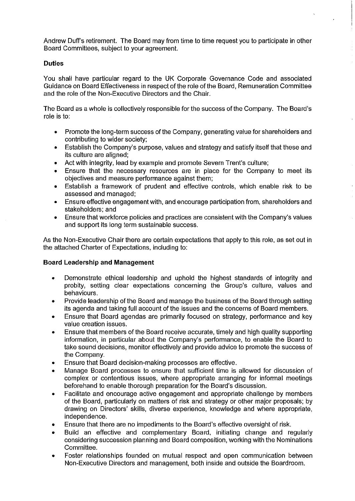Andrew Duff's retirement. The Board may from time to time request you to participate in other Board Committees, subject to your agreement.

## **Duties**

You shall have particular regard to the UK Corporate Governance Code and associated Guidance on Board Effectiveness in respect of the role of the Board, Remuneration Committee and the role of the Non-Executive Directors and the Chair.

The Board as a whole is collectively responsible for the success of the Company. The Board's role is to:

- Promote the long-term success of the Company, generating value for shareholders and  $\bullet$ contributing to wider society;
- Establish the Company's purpose, values and strategy and satisfy itself that these and  $\bullet$ its culture are aligned:
- Act with integrity, lead by example and promote Severn Trent's culture;  $\bullet$
- Ensure that the necessary resources are in place for the Company to meet its  $\bullet$ objectives and measure performance against them;
- Establish a framework of prudent and effective controls, which enable risk to be  $\bullet$ assessed and managed:
- Ensure effective engagement with, and encourage participation from, shareholders and  $\bullet$ stakeholders: and
- Ensure that workforce policies and practices are consistent with the Company's values  $\bullet$ and support its long term sustainable success.

As the Non-Executive Chair there are certain expectations that apply to this role, as set out in the attached Charter of Expectations, including to:

## **Board Leadership and Management**

- Demonstrate ethical leadership and uphold the highest standards of integrity and  $\bullet$ probity, setting clear expectations concerning the Group's culture, values and behaviours.
- Provide leadership of the Board and manage the business of the Board through setting  $\bullet$ its agenda and taking full account of the issues and the concerns of Board members.
- Ensure that Board agendas are primarily focused on strategy, performance and key value creation issues.
- Ensure that members of the Board receive accurate, timely and high quality supporting  $\bullet$ information, in particular about the Company's performance, to enable the Board to take sound decisions, monitor effectively and provide advice to promote the success of the Company.
- Ensure that Board decision-making processes are effective.  $\bullet$
- Manage Board processes to ensure that sufficient time is allowed for discussion of complex or contentious issues, where appropriate arranging for informal meetings beforehand to enable thorough preparation for the Board's discussion.
- Facilitate and encourage active engagement and appropriate challenge by members  $\bullet$ of the Board, particularly on matters of risk and strategy or other major proposals; by drawing on Directors' skills, diverse experience, knowledge and where appropriate, independence.
- Ensure that there are no impediments to the Board's effective oversight of risk.
- Build an effective and complementary Board, initiating change and regularly considering succession planning and Board composition, working with the Nominations Committee.
- Foster relationships founded on mutual respect and open communication between  $\bullet$ Non-Executive Directors and management, both inside and outside the Boardroom.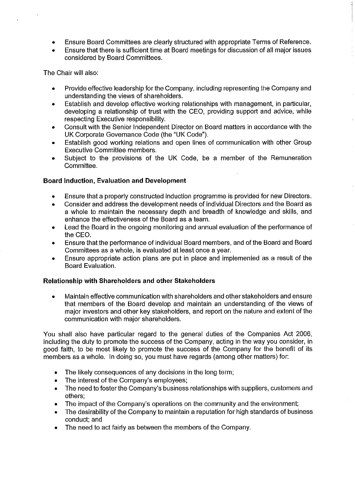- Ensure Board Committees are clearly structured with appropriate Terms of Reference.
- Ensure that there is sufficient time at Board meetings for discussion of all major issues considered by Board Committees.

The Chair will also:

- Provide effective leadership for the Company, including representing the Company and understanding the views of shareholders.
- Establish and develop effective working relationships with management, in particular,  $\bullet$ developing a relationship of trust with the CEO, providing support and advice, while respecting Executive responsibility.
- Consult with the Senior Independent Director on Board matters in accordance with the  $\bullet$ UK Corporate Governance Code (the "UK Code").
- Establish good working relations and open lines of communication with other Group Executive Committee members.
- Subject to the provisions of the UK Code, be a member of the Remuneration  $\bullet$ Committee.

## **Board Induction, Evaluation and Development**

- Ensure that a properly constructed induction programme is provided for new Directors.
- Consider and address the development needs of individual Directors and the Board as ė. a whole to maintain the necessary depth and breadth of knowledge and skills, and enhance the effectiveness of the Board as a team.
- Lead the Board in the ongoing monitoring and annual evaluation of the performance of  $\bullet$ the CEO.
- Ensure that the performance of individual Board members, and of the Board and Board  $\bullet$ Committees as a whole, is evaluated at least once a year.
- Ensure appropriate action plans are put in place and implemented as a result of the  $\bullet$ Board Evaluation.

## Relationship with Shareholders and other Stakeholders

Maintain effective communication with shareholders and other stakeholders and ensure that members of the Board develop and maintain an understanding of the views of major investors and other key stakeholders, and report on the nature and extent of the communication with major shareholders.

You shall also have particular regard to the general duties of the Companies Act 2006, including the duty to promote the success of the Company, acting in the way you consider, in good faith, to be most likely to promote the success of the Company for the benefit of its members as a whole. In doing so, you must have regards (among other matters) for:

- The likely consequences of any decisions in the long term;  $\bullet$
- The interest of the Company's employees;  $\bullet$
- The need to foster the Company's business relationships with suppliers, customers and  $\bullet$ others:
- The impact of the Company's operations on the community and the environment;  $\bullet$
- The desirability of the Company to maintain a reputation for high standards of business  $\bullet$ conduct; and
- The need to act fairly as between the members of the Company.  $\bullet$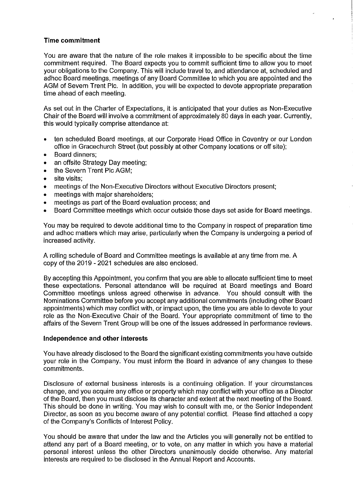### **Time commitment**

You are aware that the nature of the role makes it impossible to be specific about the time commitment required. The Board expects you to commit sufficient time to allow you to meet your obligations to the Company. This will include travel to, and attendance at, scheduled and adhoc Board meetings, meetings of any Board Committee to which you are appointed and the AGM of Severn Trent Plc. In addition, you will be expected to devote appropriate preparation time ahead of each meeting.

As set out in the Charter of Expectations, it is anticipated that your duties as Non-Executive Chair of the Board will involve a commitment of approximately 80 days in each year. Currently, this would typically comprise attendance at:

- ten scheduled Board meetings, at our Corporate Head Office in Coventry or our London  $\bullet$ office in Gracechurch Street (but possibly at other Company locations or off site);
- Board dinners:  $\bullet$
- an offsite Strategy Day meeting;  $\bullet$
- the Severn Trent Plc AGM:  $\bullet$
- $\bullet$ site visits:
- meetings of the Non-Executive Directors without Executive Directors present;  $\bullet$
- meetings with major shareholders:  $\bullet$
- meetings as part of the Board evaluation process; and  $\bullet$
- Board Committee meetings which occur outside those days set aside for Board meetings.

You may be required to devote additional time to the Company in respect of preparation time and adhoc matters which may arise, particularly when the Company is undergoing a period of increased activity.

A rolling schedule of Board and Committee meetings is available at any time from me. A copy of the 2019 - 2021 schedules are also enclosed.

By accepting this Appointment, you confirm that you are able to allocate sufficient time to meet these expectations. Personal attendance will be required at Board meetings and Board Committee meetings unless agreed otherwise in advance. You should consult with the Nominations Committee before you accept any additional commitments (including other Board appointments) which may conflict with, or impact upon, the time you are able to devote to your role as the Non-Executive Chair of the Board. Your appropriate commitment of time to the affairs of the Severn Trent Group will be one of the issues addressed in performance reviews.

#### Independence and other interests

You have already disclosed to the Board the significant existing commitments you have outside your role in the Company. You must inform the Board in advance of any changes to these commitments.

Disclosure of external business interests is a continuing obligation. If your circumstances change, and you acquire any office or property which may conflict with your office as a Director of the Board, then you must disclose its character and extent at the next meeting of the Board. This should be done in writing. You may wish to consult with me, or the Senior Independent Director, as soon as you become aware of any potential conflict. Please find attached a copy of the Company's Conflicts of Interest Policy.

You should be aware that under the law and the Articles you will generally not be entitled to attend any part of a Board meeting, or to vote, on any matter in which you have a material personal interest unless the other Directors unanimously decide otherwise. Any material interests are required to be disclosed in the Annual Report and Accounts.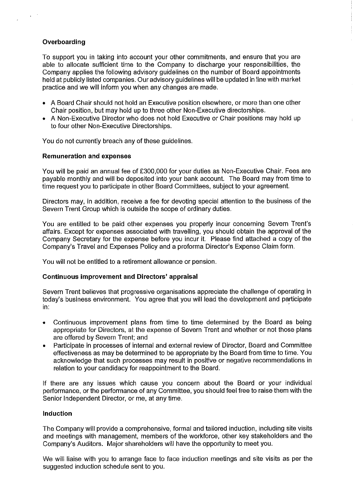## Overboarding

To support you in taking into account your other commitments, and ensure that you are able to allocate sufficient time to the Company to discharge your responsibilities, the Company applies the following advisory guidelines on the number of Board appointments held at publicly listed companies. Our advisory guidelines will be updated in line with market practice and we will inform you when any changes are made.

- A Board Chair should not hold an Executive position elsewhere, or more than one other Chair position, but may hold up to three other Non-Executive directorships.
- A Non-Executive Director who does not hold Executive or Chair positions may hold up to four other Non-Executive Directorships.

You do not currently breach any of these guidelines.

#### **Remuneration and expenses**

You will be paid an annual fee of £300,000 for your duties as Non-Executive Chair. Fees are payable monthly and will be deposited into your bank account. The Board may from time to time request you to participate in other Board Committees, subject to your agreement.

Directors may, in addition, receive a fee for devoting special attention to the business of the Severn Trent Group which is outside the scope of ordinary duties.

You are entitled to be paid other expenses you properly incur concerning Severn Trent's affairs. Except for expenses associated with travelling, you should obtain the approval of the Company Secretary for the expense before you incur it. Please find attached a copy of the Company's Travel and Expenses Policy and a proforma Director's Expense Claim form.

You will not be entitled to a retirement allowance or pension.

#### **Continuous improvement and Directors' appraisal**

Severn Trent believes that progressive organisations appreciate the challenge of operating in today's business environment. You agree that you will lead the development and participate in.

- Continuous improvement plans from time to time determined by the Board as being appropriate for Directors, at the expense of Severn Trent and whether or not those plans are offered by Severn Trent; and
- Participate in processes of internal and external review of Director, Board and Committee effectiveness as may be determined to be appropriate by the Board from time to time. You acknowledge that such processes may result in positive or negative recommendations in relation to your candidacy for reappointment to the Board.

If there are any issues which cause you concern about the Board or your individual performance, or the performance of any Committee, you should feel free to raise them with the Senior Independent Director, or me, at any time.

#### Induction

The Company will provide a comprehensive, formal and tailored induction, including site visits and meetings with management, members of the workforce, other key stakeholders and the Company's Auditors. Major shareholders will have the opportunity to meet you.

We will liaise with you to arrange face to face induction meetings and site visits as per the suggested induction schedule sent to you.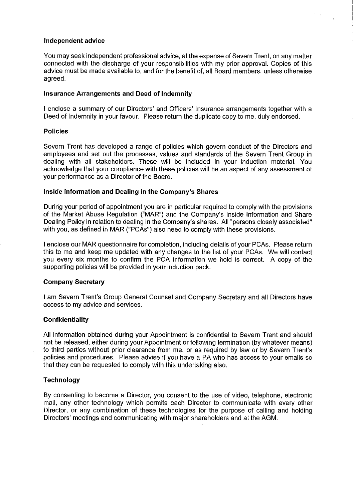#### Independent advice

You may seek independent professional advice, at the expense of Severn Trent, on any matter connected with the discharge of your responsibilities with my prior approval. Copies of this advice must be made available to, and for the benefit of, all Board members, unless otherwise agreed.

#### **Insurance Arrangements and Deed of Indemnity**

I enclose a summary of our Directors' and Officers' Insurance arrangements together with a Deed of Indemnity in your favour. Please return the duplicate copy to me, duly endorsed.

#### **Policies**

Severn Trent has developed a range of policies which govern conduct of the Directors and employees and set out the processes, values and standards of the Severn Trent Group in dealing with all stakeholders. These will be included in your induction material. You acknowledge that your compliance with these policies will be an aspect of any assessment of your performance as a Director of the Board.

#### Inside Information and Dealing in the Company's Shares

During your period of appointment you are in particular required to comply with the provisions of the Market Abuse Regulation ("MAR") and the Company's Inside Information and Share Dealing Policy in relation to dealing in the Company's shares. All "persons closely associated" with you, as defined in MAR ("PCAs") also need to comply with these provisions.

I enclose our MAR questionnaire for completion, including details of your PCAs. Please return this to me and keep me updated with any changes to the list of your PCAs. We will contact you every six months to confirm the PCA information we hold is correct. A copy of the supporting policies will be provided in your induction pack.

## **Company Secretary**

I am Severn Trent's Group General Counsel and Company Secretary and all Directors have access to my advice and services.

#### **Confidentiality**

All information obtained during your Appointment is confidential to Severn Trent and should not be released, either during your Appointment or following termination (by whatever means) to third parties without prior clearance from me, or as required by law or by Severn Trent's policies and procedures. Please advise if you have a PA who has access to your emails so that they can be requested to comply with this undertaking also.

#### Technology

By consenting to become a Director, you consent to the use of video, telephone, electronic mail, any other technology which permits each Director to communicate with every other Director, or any combination of these technologies for the purpose of calling and holding Directors' meetings and communicating with major shareholders and at the AGM.